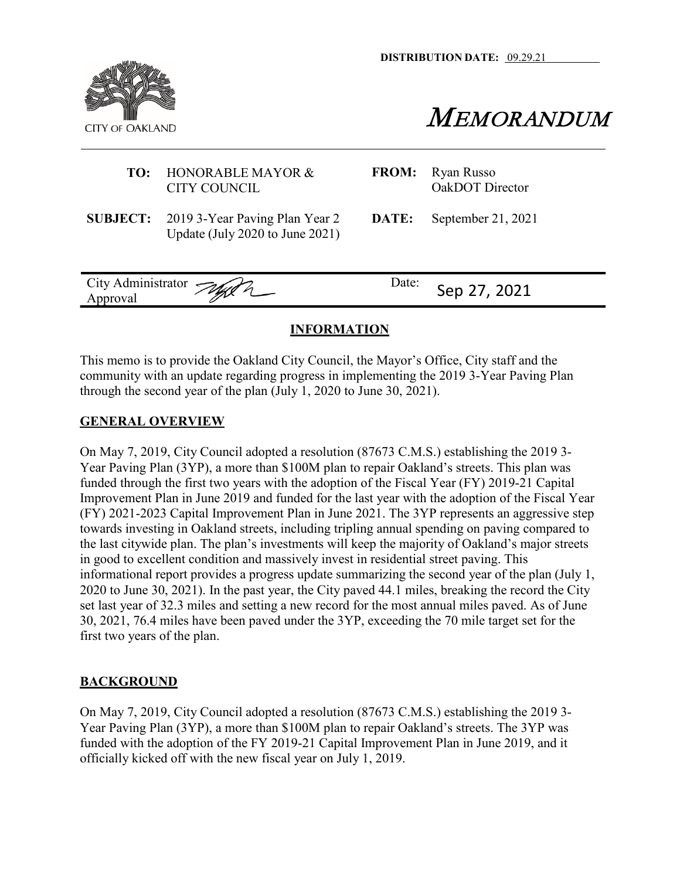**DISTRIBUTION DATE:** 09.29.21



**MEMORANDUM** 

| TO: | HONORABLE MAYOR &<br>CITY COUNCIL                                                 | <b>FROM:</b> | Ryan Russo<br>OakDOT Director |
|-----|-----------------------------------------------------------------------------------|--------------|-------------------------------|
|     | <b>SUBJECT:</b> 2019 3-Year Paving Plan Year 2<br>Update (July 2020 to June 2021) | DATE:        | September 21, 2021            |
|     | City Administrator Jugar                                                          | Date:        | Sep 27, 2021                  |

# **INFORMATION**

This memo is to provide the Oakland City Council, the Mayor's Office, City staff and the community with an update regarding progress in implementing the 2019 3-Year Paving Plan through the second year of the plan (July 1, 2020 to June 30, 2021).

### **GENERAL OVERVIEW**

On May 7, 2019, City Council adopted a resolution (87673 C.M.S.) establishing the 2019 3- Year Paving Plan (3YP), a more than \$100M plan to repair Oakland's streets. This plan was funded through the first two years with the adoption of the Fiscal Year (FY) 2019-21 Capital Improvement Plan in June 2019 and funded for the last year with the adoption of the Fiscal Year (FY) 2021-2023 Capital Improvement Plan in June 2021. The 3YP represents an aggressive step towards investing in Oakland streets, including tripling annual spending on paving compared to the last citywide plan. The plan's investments will keep the majority of Oakland's major streets in good to excellent condition and massively invest in residential street paving. This informational report provides a progress update summarizing the second year of the plan (July 1, 2020 to June 30, 2021). In the past year, the City paved 44.1 miles, breaking the record the City set last year of 32.3 miles and setting a new record for the most annual miles paved. As of June 30, 2021, 76.4 miles have been paved under the 3YP, exceeding the 70 mile target set for the first two years of the plan.

## **BACKGROUND**

On May 7, 2019, City Council adopted a resolution (87673 C.M.S.) establishing the 2019 3- Year Paving Plan (3YP), a more than \$100M plan to repair Oakland's streets. The 3YP was funded with the adoption of the FY 2019-21 Capital Improvement Plan in June 2019, and it officially kicked off with the new fiscal year on July 1, 2019.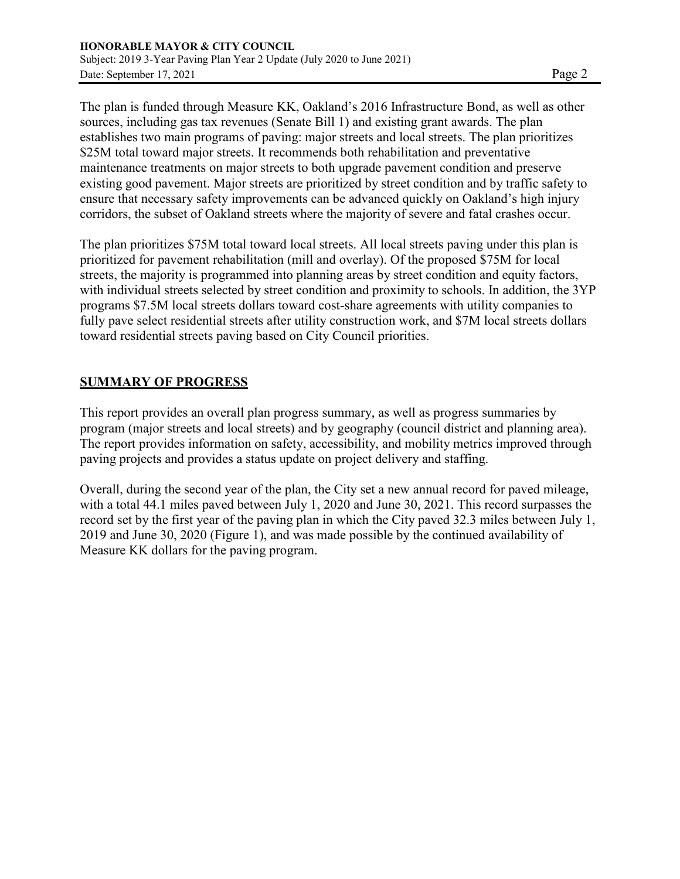The plan is funded through Measure KK, Oakland's 2016 Infrastructure Bond, as well as other sources, including gas tax revenues (Senate Bill 1) and existing grant awards. The plan establishes two main programs of paving: major streets and local streets. The plan prioritizes \$25M total toward major streets. It recommends both rehabilitation and preventative maintenance treatments on major streets to both upgrade pavement condition and preserve existing good pavement. Major streets are prioritized by street condition and by traffic safety to ensure that necessary safety improvements can be advanced quickly on Oakland's high injury corridors, the subset of Oakland streets where the majority of severe and fatal crashes occur.

The plan prioritizes \$75M total toward local streets. All local streets paving under this plan is prioritized for pavement rehabilitation (mill and overlay). Of the proposed \$75M for local streets, the majority is programmed into planning areas by street condition and equity factors, with individual streets selected by street condition and proximity to schools. In addition, the 3YP programs \$7.5M local streets dollars toward cost-share agreements with utility companies to fully pave select residential streets after utility construction work, and \$7M local streets dollars toward residential streets paving based on City Council priorities.

## **SUMMARY OF PROGRESS**

This report provides an overall plan progress summary, as well as progress summaries by program (major streets and local streets) and by geography (council district and planning area). The report provides information on safety, accessibility, and mobility metrics improved through paving projects and provides a status update on project delivery and staffing.

Overall, during the second year of the plan, the City set a new annual record for paved mileage, with a total 44.1 miles paved between July 1, 2020 and June 30, 2021. This record surpasses the record set by the first year of the paving plan in which the City paved 32.3 miles between July 1, 2019 and June 30, 2020 (Figure 1), and was made possible by the continued availability of Measure KK dollars for the paving program.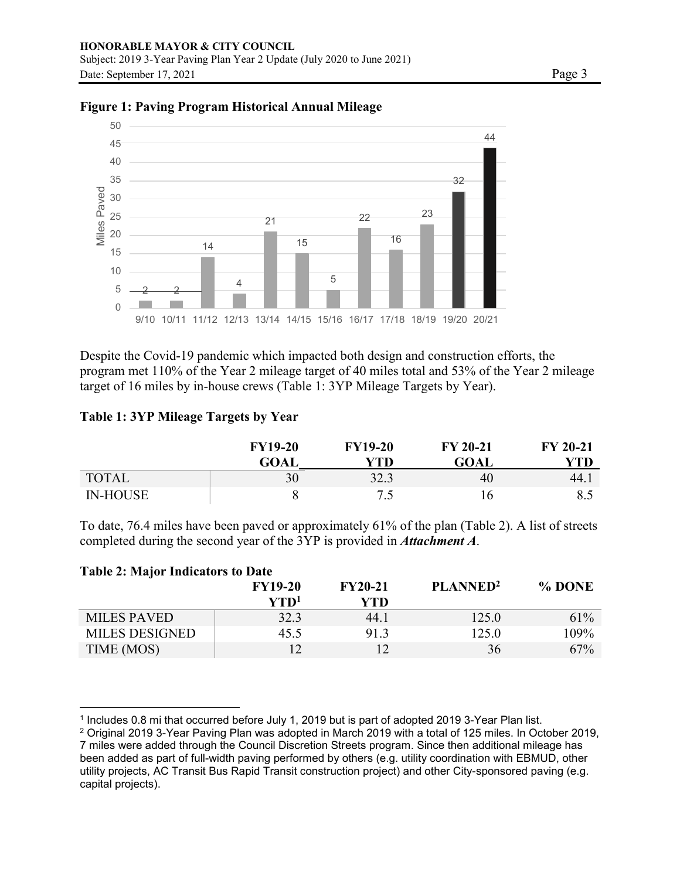

### **Figure 1: Paving Program Historical Annual Mileage**

Despite the Covid-19 pandemic which impacted both design and construction efforts, the program met 110% of the Year 2 mileage target of 40 miles total and 53% of the Year 2 mileage target of 16 miles by in-house crews (Table 1: 3YP Mileage Targets by Year).

### **Table 1: 3YP Mileage Targets by Year**

|                 | <b>FY19-20</b><br><b>GOAL</b> | <b>FY19-20</b><br>YTD | <b>FY 20-21</b><br><b>GOAL</b> | <b>FY 20-21</b><br>YTD |
|-----------------|-------------------------------|-----------------------|--------------------------------|------------------------|
| <b>TOTAL</b>    | 30                            | 32.3                  | 40                             | 44.1                   |
| <b>IN-HOUSE</b> |                               | $\cdot$ $\sim$        |                                | 8.5                    |

To date, 76.4 miles have been paved or approximately 61% of the plan (Table 2). A list of streets completed during the second year of the 3YP is provided in *Attachment A*.

| <b>Table 2: Major Indicators to Date</b> |                                                        |                       |                      |        |  |  |  |
|------------------------------------------|--------------------------------------------------------|-----------------------|----------------------|--------|--|--|--|
|                                          | <b>FY19-20</b><br>$\mathbf{Y} \mathbf{T} \mathbf{D}^1$ | <b>FY20-21</b><br>YTD | PLANNED <sup>2</sup> | % DONE |  |  |  |
| <b>MILES PAVED</b>                       | 32.3                                                   | 44.1                  | 125.0                | 61%    |  |  |  |
| <b>MILES DESIGNED</b>                    | 45.5                                                   | 91.3                  | 125.0                | 109%   |  |  |  |
| TIME (MOS)                               | 12                                                     |                       | 36                   | 67%    |  |  |  |

<sup>1</sup> Includes 0.8 mi that occurred before July 1, 2019 but is part of adopted 2019 3-Year Plan list.

<sup>2</sup> Original 2019 3-Year Paving Plan was adopted in March 2019 with a total of 125 miles. In October 2019, 7 miles were added through the Council Discretion Streets program. Since then additional mileage has been added as part of full-width paving performed by others (e.g. utility coordination with EBMUD, other utility projects, AC Transit Bus Rapid Transit construction project) and other City-sponsored paving (e.g. capital projects).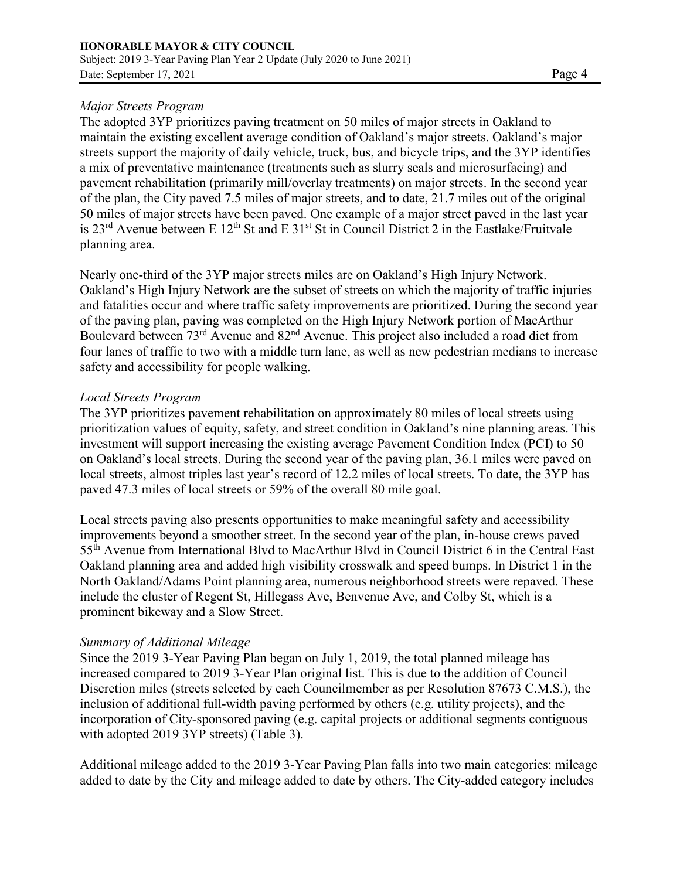## *Major Streets Program*

The adopted 3YP prioritizes paving treatment on 50 miles of major streets in Oakland to maintain the existing excellent average condition of Oakland's major streets. Oakland's major streets support the majority of daily vehicle, truck, bus, and bicycle trips, and the 3YP identifies a mix of preventative maintenance (treatments such as slurry seals and microsurfacing) and pavement rehabilitation (primarily mill/overlay treatments) on major streets. In the second year of the plan, the City paved 7.5 miles of major streets, and to date, 21.7 miles out of the original 50 miles of major streets have been paved. One example of a major street paved in the last year is  $23<sup>rd</sup>$  Avenue between E  $12<sup>th</sup>$  St and E  $31<sup>st</sup>$  St in Council District 2 in the Eastlake/Fruitvale planning area.

Nearly one-third of the 3YP major streets miles are on Oakland's High Injury Network. Oakland's High Injury Network are the subset of streets on which the majority of traffic injuries and fatalities occur and where traffic safety improvements are prioritized. During the second year of the paving plan, paving was completed on the High Injury Network portion of MacArthur Boulevard between 73<sup>rd</sup> Avenue and 82<sup>nd</sup> Avenue. This project also included a road diet from four lanes of traffic to two with a middle turn lane, as well as new pedestrian medians to increase safety and accessibility for people walking.

### *Local Streets Program*

The 3YP prioritizes pavement rehabilitation on approximately 80 miles of local streets using prioritization values of equity, safety, and street condition in Oakland's nine planning areas. This investment will support increasing the existing average Pavement Condition Index (PCI) to 50 on Oakland's local streets. During the second year of the paving plan, 36.1 miles were paved on local streets, almost triples last year's record of 12.2 miles of local streets. To date, the 3YP has paved 47.3 miles of local streets or 59% of the overall 80 mile goal.

Local streets paving also presents opportunities to make meaningful safety and accessibility improvements beyond a smoother street. In the second year of the plan, in-house crews paved 55th Avenue from International Blvd to MacArthur Blvd in Council District 6 in the Central East Oakland planning area and added high visibility crosswalk and speed bumps. In District 1 in the North Oakland/Adams Point planning area, numerous neighborhood streets were repaved. These include the cluster of Regent St, Hillegass Ave, Benvenue Ave, and Colby St, which is a prominent bikeway and a Slow Street.

### *Summary of Additional Mileage*

Since the 2019 3-Year Paving Plan began on July 1, 2019, the total planned mileage has increased compared to 2019 3-Year Plan original list. This is due to the addition of Council Discretion miles (streets selected by each Councilmember as per Resolution 87673 C.M.S.), the inclusion of additional full-width paving performed by others (e.g. utility projects), and the incorporation of City-sponsored paving (e.g. capital projects or additional segments contiguous with adopted 2019 3YP streets) (Table 3).

Additional mileage added to the 2019 3-Year Paving Plan falls into two main categories: mileage added to date by the City and mileage added to date by others. The City-added category includes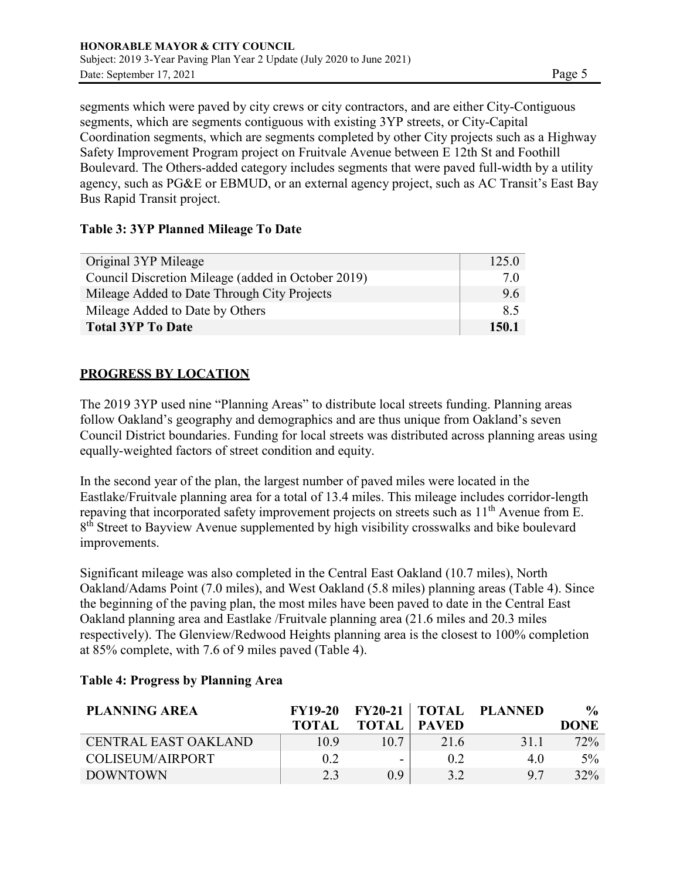segments which were paved by city crews or city contractors, and are either City-Contiguous segments, which are segments contiguous with existing 3YP streets, or City-Capital Coordination segments, which are segments completed by other City projects such as a Highway Safety Improvement Program project on Fruitvale Avenue between E 12th St and Foothill Boulevard. The Others-added category includes segments that were paved full-width by a utility agency, such as PG&E or EBMUD, or an external agency project, such as AC Transit's East Bay Bus Rapid Transit project.

## **Table 3: 3YP Planned Mileage To Date**

| Original 3YP Mileage                               | 125.0 |
|----------------------------------------------------|-------|
| Council Discretion Mileage (added in October 2019) | 7.0   |
| Mileage Added to Date Through City Projects        | 9.6   |
| Mileage Added to Date by Others                    | 8.5   |
| <b>Total 3YP To Date</b>                           | 150.1 |

## **PROGRESS BY LOCATION**

The 2019 3YP used nine "Planning Areas" to distribute local streets funding. Planning areas follow Oakland's geography and demographics and are thus unique from Oakland's seven Council District boundaries. Funding for local streets was distributed across planning areas using equally-weighted factors of street condition and equity.

In the second year of the plan, the largest number of paved miles were located in the Eastlake/Fruitvale planning area for a total of 13.4 miles. This mileage includes corridor-length repaving that incorporated safety improvement projects on streets such as  $11<sup>th</sup>$  Avenue from E. 8<sup>th</sup> Street to Bayview Avenue supplemented by high visibility crosswalks and bike boulevard improvements.

Significant mileage was also completed in the Central East Oakland (10.7 miles), North Oakland/Adams Point (7.0 miles), and West Oakland (5.8 miles) planning areas (Table 4). Since the beginning of the paving plan, the most miles have been paved to date in the Central East Oakland planning area and Eastlake /Fruitvale planning area (21.6 miles and 20.3 miles respectively). The Glenview/Redwood Heights planning area is the closest to 100% completion at 85% complete, with 7.6 of 9 miles paved (Table 4).

| <b>PLANNING AREA</b> | <b>FY19-20</b> |                          |      | <b>FY20-21   TOTAL PLANNED</b> | $\frac{0}{\alpha}$ |
|----------------------|----------------|--------------------------|------|--------------------------------|--------------------|
|                      | <b>TOTAL</b>   | <b>TOTAL</b> PAVED       |      |                                | <b>DONE</b>        |
| CENTRAL EAST OAKLAND | 10.9           | 10.7                     | 21.6 | 31.1                           | 72%                |
| COLISEUM/AIRPORT     | 0.2            | $\overline{\phantom{0}}$ | 0.2  | 4.0                            | $5\%$              |
| <b>DOWNTOWN</b>      | 2.3            | 0.9 <sup>°</sup>         | 3.2  | Q <sub>7</sub>                 | 32%                |

## **Table 4: Progress by Planning Area**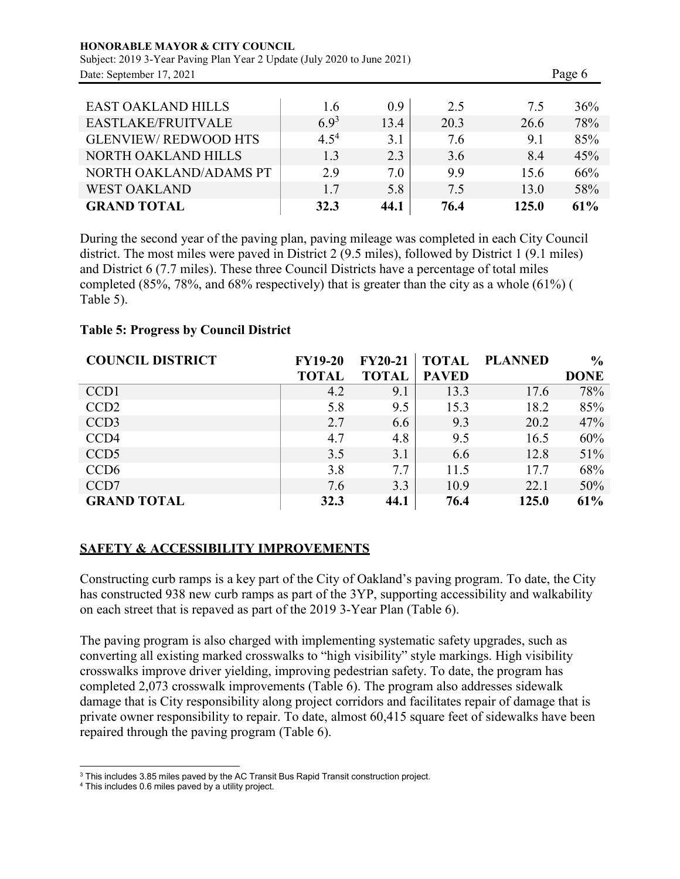| <b>HONORABLE MAYOR &amp; CITY COUNCIL</b><br>Subject: 2019 3-Year Paving Plan Year 2 Update (July 2020 to June 2021) |           |                  |      |       |     |  |
|----------------------------------------------------------------------------------------------------------------------|-----------|------------------|------|-------|-----|--|
| Date: September 17, 2021                                                                                             |           | Page 6           |      |       |     |  |
| <b>EAST OAKLAND HILLS</b>                                                                                            | 1.6       | 0.9 <sup>°</sup> | 2.5  | 7.5   | 36% |  |
| EASTLAKE/FRUITVALE                                                                                                   | $6.9^{3}$ | 13.4             | 20.3 | 26.6  | 78% |  |
| <b>GLENVIEW/REDWOOD HTS</b>                                                                                          | $4.5^{4}$ | 3.1              | 7.6  | 9.1   | 85% |  |
| <b>NORTH OAKLAND HILLS</b>                                                                                           | 1.3       | 2.3              | 3.6  | 8.4   | 45% |  |
| NORTH OAKLAND/ADAMS PT                                                                                               | 2.9       | 7.0              | 9.9  | 15.6  | 66% |  |
| <b>WEST OAKLAND</b>                                                                                                  | 1.7       | 5.8              | 7.5  | 13.0  | 58% |  |
| <b>GRAND TOTAL</b>                                                                                                   | 32.3      | 44.1             | 76.4 | 125.0 | 61% |  |

During the second year of the paving plan, paving mileage was completed in each City Council district. The most miles were paved in District 2 (9.5 miles), followed by District 1 (9.1 miles) and District 6 (7.7 miles). These three Council Districts have a percentage of total miles completed (85%, 78%, and 68% respectively) that is greater than the city as a whole (61%) ( Table 5).

### **Table 5: Progress by Council District**

| <b>COUNCIL DISTRICT</b> | <b>FY19-20</b> | <b>FY20-21</b> | TOTAL        | <b>PLANNED</b> | $\frac{6}{6}$ |
|-------------------------|----------------|----------------|--------------|----------------|---------------|
|                         | <b>TOTAL</b>   | <b>TOTAL</b>   | <b>PAVED</b> |                | <b>DONE</b>   |
| CCD <sub>1</sub>        | 4.2            | 9.1            | 13.3         | 17.6           | 78%           |
| CCD <sub>2</sub>        | 5.8            | 9.5            | 15.3         | 18.2           | 85%           |
| CCD <sub>3</sub>        | 2.7            | 6.6            | 9.3          | 20.2           | 47%           |
| CCD <sub>4</sub>        | 4.7            | 4.8            | 9.5          | 16.5           | 60%           |
| CCD <sub>5</sub>        | 3.5            | 3.1            | 6.6          | 12.8           | 51%           |
| CCD <sub>6</sub>        | 3.8            | 7.7            | 11.5         | 17.7           | 68%           |
| CCD7                    | 7.6            | 3.3            | 10.9         | 22.1           | 50%           |
| <b>GRAND TOTAL</b>      | 32.3           | 44.1           | 76.4         | 125.0          | 61%           |

### **SAFETY & ACCESSIBILITY IMPROVEMENTS**

Constructing curb ramps is a key part of the City of Oakland's paving program. To date, the City has constructed 938 new curb ramps as part of the 3YP, supporting accessibility and walkability on each street that is repaved as part of the 2019 3-Year Plan (Table 6).

The paving program is also charged with implementing systematic safety upgrades, such as converting all existing marked crosswalks to "high visibility" style markings. High visibility crosswalks improve driver yielding, improving pedestrian safety. To date, the program has completed 2,073 crosswalk improvements (Table 6). The program also addresses sidewalk damage that is City responsibility along project corridors and facilitates repair of damage that is private owner responsibility to repair. To date, almost 60,415 square feet of sidewalks have been repaired through the paving program (Table 6).

<sup>&</sup>lt;sup>3</sup> This includes 3.85 miles paved by the AC Transit Bus Rapid Transit construction project.

<sup>4</sup> This includes 0.6 miles paved by a utility project.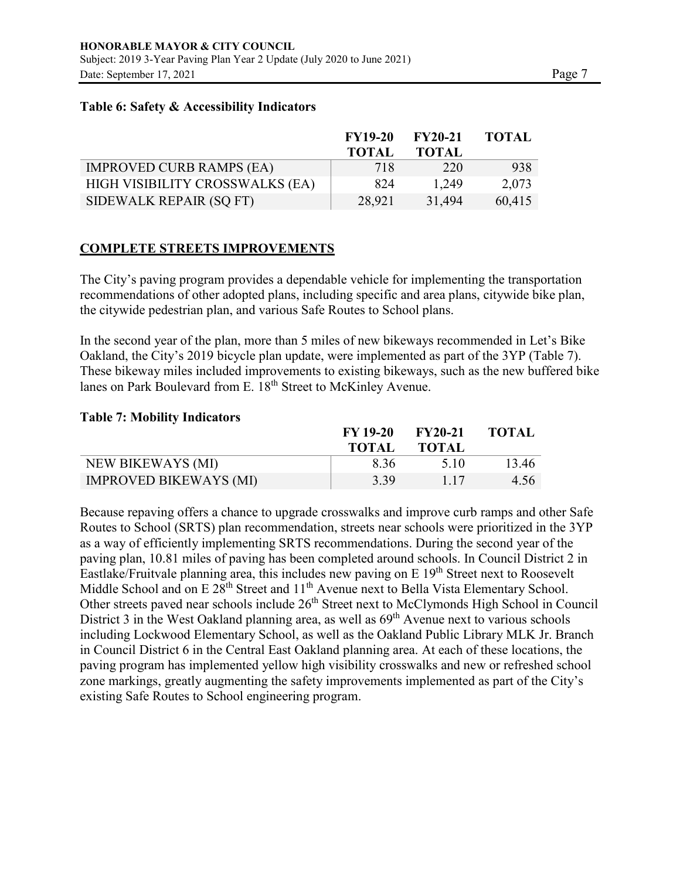#### **Table 6: Safety & Accessibility Indicators**

|                                 | <b>FY19-20</b> | <b>FY20-21</b> | <b>TOTAL</b> |
|---------------------------------|----------------|----------------|--------------|
|                                 | <b>TOTAL</b>   | <b>TOTAL</b>   |              |
| <b>IMPROVED CURB RAMPS (EA)</b> | 718            | 220            | 938          |
| HIGH VISIBILITY CROSSWALKS (EA) | -824           | 1,249          | 2,073        |
| SIDEWALK REPAIR (SQ FT)         | 28,921         | 31,494         | 60,415       |

### **COMPLETE STREETS IMPROVEMENTS**

The City's paving program provides a dependable vehicle for implementing the transportation recommendations of other adopted plans, including specific and area plans, citywide bike plan, the citywide pedestrian plan, and various Safe Routes to School plans.

In the second year of the plan, more than 5 miles of new bikeways recommended in Let's Bike Oakland, the City's 2019 bicycle plan update, were implemented as part of the 3YP (Table 7). These bikeway miles included improvements to existing bikeways, such as the new buffered bike lanes on Park Boulevard from E. 18<sup>th</sup> Street to McKinley Avenue.

#### **Table 7: Mobility Indicators**

|                               | FY 19-20 | $FY20-21$    | <b>TOTAL</b> |
|-------------------------------|----------|--------------|--------------|
|                               | TOTAL    | <b>TOTAL</b> |              |
| NEW BIKEWAYS (MI)             | 8.36     | 5.10         | 13.46        |
| <b>IMPROVED BIKEWAYS (MI)</b> | 3.39     | 1.17         | 4.56         |

Because repaving offers a chance to upgrade crosswalks and improve curb ramps and other Safe Routes to School (SRTS) plan recommendation, streets near schools were prioritized in the 3YP as a way of efficiently implementing SRTS recommendations. During the second year of the paving plan, 10.81 miles of paving has been completed around schools. In Council District 2 in Eastlake/Fruitvale planning area, this includes new paving on  $E 19<sup>th</sup>$  Street next to Roosevelt Middle School and on E 28<sup>th</sup> Street and 11<sup>th</sup> Avenue next to Bella Vista Elementary School. Other streets paved near schools include 26<sup>th</sup> Street next to McClymonds High School in Council District 3 in the West Oakland planning area, as well as  $69<sup>th</sup>$  Avenue next to various schools including Lockwood Elementary School, as well as the Oakland Public Library MLK Jr. Branch in Council District 6 in the Central East Oakland planning area. At each of these locations, the paving program has implemented yellow high visibility crosswalks and new or refreshed school zone markings, greatly augmenting the safety improvements implemented as part of the City's existing Safe Routes to School engineering program.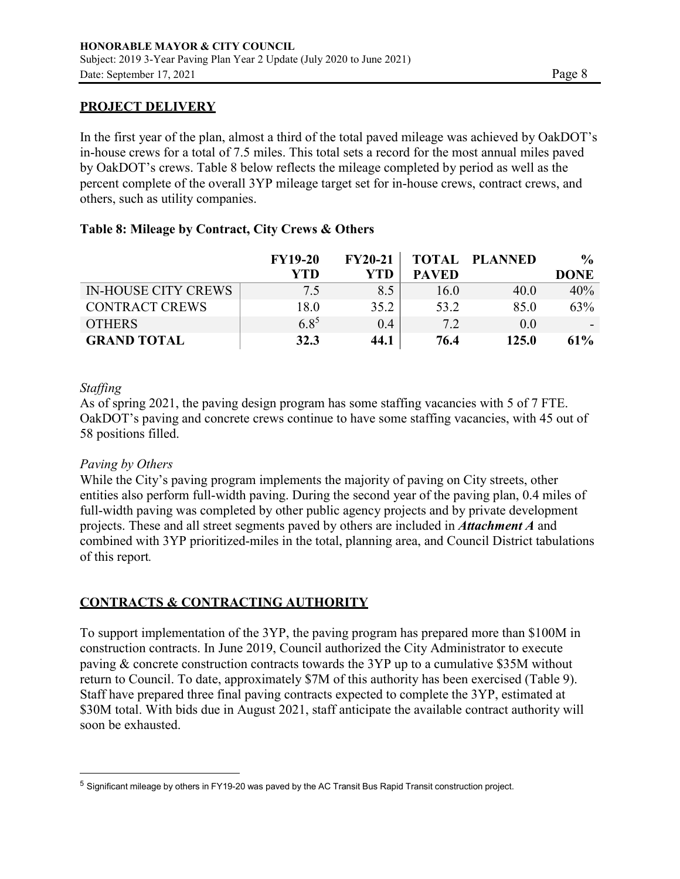#### **PROJECT DELIVERY**

In the first year of the plan, almost a third of the total paved mileage was achieved by OakDOT's in-house crews for a total of 7.5 miles. This total sets a record for the most annual miles paved by OakDOT's crews. Table 8 below reflects the mileage completed by period as well as the percent complete of the overall 3YP mileage target set for in-house crews, contract crews, and others, such as utility companies.

#### **Table 8: Mileage by Contract, City Crews & Others**

|                            | <b>FY19-20</b> | $FY20-21$ |              | <b>TOTAL PLANNED</b> | $\frac{6}{6}$            |
|----------------------------|----------------|-----------|--------------|----------------------|--------------------------|
|                            | YTD            | YTD       | <b>PAVED</b> |                      | <b>DONE</b>              |
| <b>IN-HOUSE CITY CREWS</b> | 7.5            | 8.5       | 16.0         | 40.0                 | 40%                      |
| <b>CONTRACT CREWS</b>      | 18.0           | 35.2      | 53.2         | 85.0                 | 63%                      |
| <b>OTHERS</b>              | $6.8^{5}$      | 0.4       | 7.2          | 0.0                  | $\overline{\phantom{a}}$ |
| <b>GRAND TOTAL</b>         | 32.3           | 44.1      | 76.4         | 125.0                | 61%                      |

#### *Staffing*

As of spring 2021, the paving design program has some staffing vacancies with 5 of 7 FTE. OakDOT's paving and concrete crews continue to have some staffing vacancies, with 45 out of 58 positions filled.

### *Paving by Others*

While the City's paving program implements the majority of paving on City streets, other entities also perform full-width paving. During the second year of the paving plan, 0.4 miles of full-width paving was completed by other public agency projects and by private development projects. These and all street segments paved by others are included in *Attachment A* and combined with 3YP prioritized-miles in the total, planning area, and Council District tabulations of this report*.*

### **CONTRACTS & CONTRACTING AUTHORITY**

To support implementation of the 3YP, the paving program has prepared more than \$100M in construction contracts. In June 2019, Council authorized the City Administrator to execute paving & concrete construction contracts towards the 3YP up to a cumulative \$35M without return to Council. To date, approximately \$7M of this authority has been exercised (Table 9). Staff have prepared three final paving contracts expected to complete the 3YP, estimated at \$30M total. With bids due in August 2021, staff anticipate the available contract authority will soon be exhausted.

<sup>&</sup>lt;sup>5</sup> Significant mileage by others in FY19-20 was paved by the AC Transit Bus Rapid Transit construction project.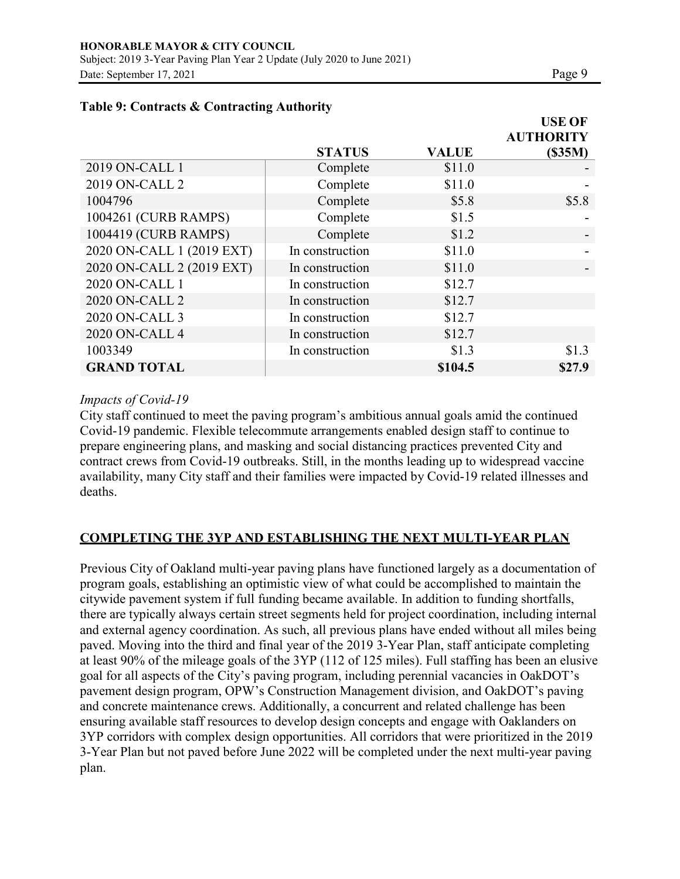|--|--|

|                           |                 |              | <b>USE OF</b>    |
|---------------------------|-----------------|--------------|------------------|
|                           |                 |              | <b>AUTHORITY</b> |
|                           | <b>STATUS</b>   | <b>VALUE</b> | (S35M)           |
| 2019 ON-CALL 1            | Complete        | \$11.0       |                  |
| 2019 ON-CALL 2            | Complete        | \$11.0       |                  |
| 1004796                   | Complete        | \$5.8        | \$5.8            |
| 1004261 (CURB RAMPS)      | Complete        | \$1.5        |                  |
| 1004419 (CURB RAMPS)      | Complete        | \$1.2        |                  |
| 2020 ON-CALL 1 (2019 EXT) | In construction | \$11.0       |                  |
| 2020 ON-CALL 2 (2019 EXT) | In construction | \$11.0       |                  |
| 2020 ON-CALL 1            | In construction | \$12.7       |                  |
| 2020 ON-CALL 2            | In construction | \$12.7       |                  |
| 2020 ON-CALL 3            | In construction | \$12.7       |                  |
| 2020 ON-CALL 4            | In construction | \$12.7       |                  |
| 1003349                   | In construction | \$1.3        | \$1.3            |
| <b>GRAND TOTAL</b>        |                 | \$104.5      | \$27.9           |

### **Table 9: Contracts & Contracting Authority**

### *Impacts of Covid-19*

City staff continued to meet the paving program's ambitious annual goals amid the continued Covid-19 pandemic. Flexible telecommute arrangements enabled design staff to continue to prepare engineering plans, and masking and social distancing practices prevented City and contract crews from Covid-19 outbreaks. Still, in the months leading up to widespread vaccine availability, many City staff and their families were impacted by Covid-19 related illnesses and deaths.

### **COMPLETING THE 3YP AND ESTABLISHING THE NEXT MULTI-YEAR PLAN**

Previous City of Oakland multi-year paving plans have functioned largely as a documentation of program goals, establishing an optimistic view of what could be accomplished to maintain the citywide pavement system if full funding became available. In addition to funding shortfalls, there are typically always certain street segments held for project coordination, including internal and external agency coordination. As such, all previous plans have ended without all miles being paved. Moving into the third and final year of the 2019 3-Year Plan, staff anticipate completing at least 90% of the mileage goals of the 3YP (112 of 125 miles). Full staffing has been an elusive goal for all aspects of the City's paving program, including perennial vacancies in OakDOT's pavement design program, OPW's Construction Management division, and OakDOT's paving and concrete maintenance crews. Additionally, a concurrent and related challenge has been ensuring available staff resources to develop design concepts and engage with Oaklanders on 3YP corridors with complex design opportunities. All corridors that were prioritized in the 2019 3-Year Plan but not paved before June 2022 will be completed under the next multi-year paving plan.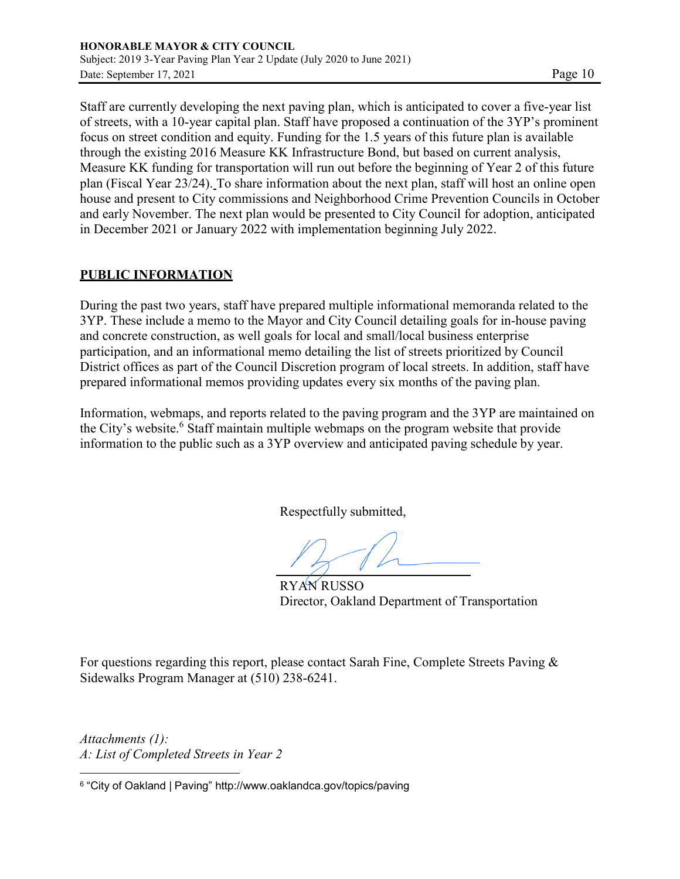Staff are currently developing the next paving plan, which is anticipated to cover a five-year list of streets, with a 10-year capital plan. Staff have proposed a continuation of the 3YP's prominent focus on street condition and equity. Funding for the 1.5 years of this future plan is available through the existing 2016 Measure KK Infrastructure Bond, but based on current analysis, Measure KK funding for transportation will run out before the beginning of Year 2 of this future plan (Fiscal Year 23/24). To share information about the next plan, staff will host an online open house and present to City commissions and Neighborhood Crime Prevention Councils in October and early November. The next plan would be presented to City Council for adoption, anticipated in December 2021 or January 2022 with implementation beginning July 2022.

## **PUBLIC INFORMATION**

During the past two years, staff have prepared multiple informational memoranda related to the 3YP. These include a memo to the Mayor and City Council detailing goals for in-house paving and concrete construction, as well goals for local and small/local business enterprise participation, and an informational memo detailing the list of streets prioritized by Council District offices as part of the Council Discretion program of local streets. In addition, staff have prepared informational memos providing updates every six months of the paving plan.

Information, webmaps, and reports related to the paving program and the 3YP are maintained on the City's website.<sup>6</sup> Staff maintain multiple webmaps on the program website that provide information to the public such as a 3YP overview and anticipated paving schedule by year.

Respectfully submitted,

RYAN RUSSO Director, Oakland Department of Transportation

For questions regarding this report, please contact Sarah Fine, Complete Streets Paving & Sidewalks Program Manager at (510) 238-6241.

*Attachments (1): A: List of Completed Streets in Year 2*

<sup>6</sup> "City of Oakland | Paving" <http://www.oaklandca.gov/topics/paving>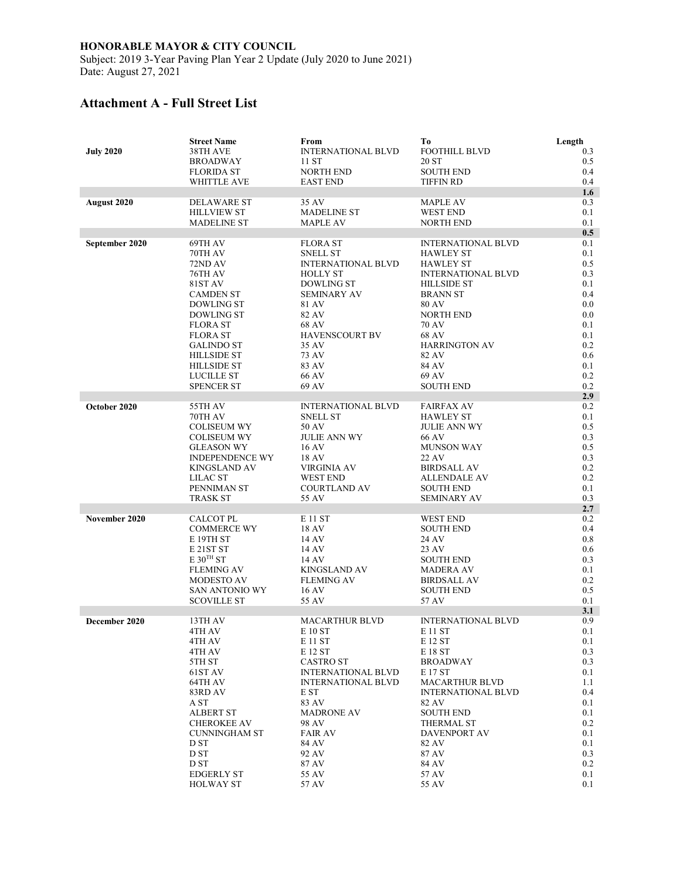Subject: 2019 3-Year Paving Plan Year 2 Update (July 2020 to June 2021) Date: August 27, 2021

# **Attachment A - Full Street List**

|                  | <b>Street Name</b>                         | From                                   | Tо                                              | Length     |
|------------------|--------------------------------------------|----------------------------------------|-------------------------------------------------|------------|
| <b>July 2020</b> | 38TH AVE                                   | <b>INTERNATIONAL BLVD</b>              | <b>FOOTHILL BLVD</b>                            | 0.3        |
|                  | <b>BROADWAY</b>                            | 11 ST                                  | 20 ST                                           | 0.5        |
|                  | <b>FLORIDA ST</b><br><b>WHITTLE AVE</b>    | <b>NORTH END</b><br><b>EAST END</b>    | <b>SOUTH END</b><br><b>TIFFIN RD</b>            | 0.4<br>0.4 |
|                  |                                            |                                        |                                                 | 1.6        |
| August 2020      | <b>DELAWARE ST</b>                         | 35 AV                                  | <b>MAPLE AV</b>                                 | 0.3        |
|                  | <b>HILLVIEW ST</b>                         | <b>MADELINE ST</b>                     | <b>WEST END</b>                                 | 0.1        |
|                  | <b>MADELINE ST</b>                         | <b>MAPLE AV</b>                        | <b>NORTH END</b>                                | 0.1        |
|                  |                                            |                                        |                                                 | 0.5        |
| September 2020   | 69TH AV                                    | <b>FLORA ST</b>                        | <b>INTERNATIONAL BLVD</b>                       | 0.1        |
|                  | 70TH AV                                    | <b>SNELL ST</b>                        | <b>HAWLEY ST</b>                                | 0.1        |
|                  | 72ND AV                                    | <b>INTERNATIONAL BLVD</b>              | <b>HAWLEY ST</b>                                | 0.5        |
|                  | 76TH AV<br>81ST AV                         | <b>HOLLY ST</b><br><b>DOWLING ST</b>   | <b>INTERNATIONAL BLVD</b><br><b>HILLSIDE ST</b> | 0.3<br>0.1 |
|                  | <b>CAMDEN ST</b>                           | <b>SEMINARY AV</b>                     | <b>BRANN ST</b>                                 | 0.4        |
|                  | DOWLING ST                                 | 81 AV                                  | <b>80 AV</b>                                    | 0.0        |
|                  | <b>DOWLING ST</b>                          | 82 AV                                  | NORTH END                                       | 0.0        |
|                  | <b>FLORA ST</b>                            | 68 AV                                  | 70 AV                                           | 0.1        |
|                  | <b>FLORA ST</b>                            | <b>HAVENSCOURT BV</b>                  | 68 AV                                           | 0.1        |
|                  | <b>GALINDO ST</b>                          | 35 AV                                  | <b>HARRINGTON AV</b>                            | 0.2        |
|                  | <b>HILLSIDE ST</b>                         | 73 AV                                  | 82 AV                                           | 0.6        |
|                  | <b>HILLSIDE ST</b>                         | 83 AV                                  | 84 AV                                           | 0.1        |
|                  | <b>LUCILLE ST</b><br><b>SPENCER ST</b>     | 66 AV<br>69 AV                         | 69 AV<br><b>SOUTH END</b>                       | 0.2<br>0.2 |
|                  |                                            |                                        |                                                 | 2.9        |
| October 2020     | 55TH AV                                    | <b>INTERNATIONAL BLVD</b>              | <b>FAIRFAX AV</b>                               | 0.2        |
|                  | 70TH AV                                    | <b>SNELL ST</b>                        | <b>HAWLEY ST</b>                                | 0.1        |
|                  | <b>COLISEUM WY</b>                         | 50 AV                                  | <b>JULIE ANN WY</b>                             | 0.5        |
|                  | <b>COLISEUM WY</b>                         | <b>JULIE ANN WY</b>                    | 66 AV                                           | 0.3        |
|                  | <b>GLEASON WY</b>                          | 16 AV                                  | <b>MUNSON WAY</b>                               | 0.5        |
|                  | <b>INDEPENDENCE WY</b>                     | 18 AV                                  | 22 AV                                           | 0.3        |
|                  | KINGSLAND AV                               | VIRGINIA AV                            | <b>BIRDSALL AV</b>                              | 0.2<br>0.2 |
|                  | LILAC ST<br>PENNIMAN ST                    | <b>WEST END</b><br><b>COURTLAND AV</b> | <b>ALLENDALE AV</b><br><b>SOUTH END</b>         | 0.1        |
|                  | <b>TRASK ST</b>                            | 55 AV                                  | <b>SEMINARY AV</b>                              | 0.3        |
|                  |                                            |                                        |                                                 | 2.7        |
| November 2020    | <b>CALCOT PL</b>                           | E 11 ST                                | <b>WEST END</b>                                 | 0.2        |
|                  | <b>COMMERCE WY</b>                         | 18 AV                                  | <b>SOUTH END</b>                                | 0.4        |
|                  | E 19TH ST                                  | 14 AV                                  | 24 AV                                           | 0.8        |
|                  | E <sub>21</sub> ST <sub>ST</sub>           | 14 AV                                  | 23 AV                                           | 0.6        |
|                  | E 30 <sup>TH</sup> ST<br><b>FLEMING AV</b> | 14 AV<br><b>KINGSLAND AV</b>           | <b>SOUTH END</b><br><b>MADERA AV</b>            | 0.3<br>0.1 |
|                  | <b>MODESTO AV</b>                          | <b>FLEMING AV</b>                      | <b>BIRDSALL AV</b>                              | 0.2        |
|                  | SAN ANTONIO WY                             | 16 AV                                  | <b>SOUTH END</b>                                | 0.5        |
|                  | <b>SCOVILLE ST</b>                         | 55 AV                                  | 57 AV                                           | 0.1        |
|                  |                                            |                                        |                                                 | 3.1        |
| December 2020    | 13TH AV                                    | <b>MACARTHUR BLVD</b>                  | <b>INTERNATIONAL BLVD</b>                       | 0.9        |
|                  | 4TH AV                                     | E 10 ST                                | E 11 ST                                         | 0.1        |
|                  | 4TH AV                                     | E 11 ST                                | E 12 ST                                         | 0.1        |
|                  | 4TH AV<br>5TH ST                           | E 12 ST<br><b>CASTRO ST</b>            | E 18 ST<br><b>BROADWAY</b>                      | 0.3<br>0.3 |
|                  | 61ST AV                                    | <b>INTERNATIONAL BLVD</b>              | E 17 ST                                         | 0.1        |
|                  | 64TH AV                                    | <b>INTERNATIONAL BLVD</b>              | <b>MACARTHUR BLVD</b>                           | 1.1        |
|                  | 83RD AV                                    | E ST                                   | <b>INTERNATIONAL BLVD</b>                       | 0.4        |
|                  | A ST                                       | 83 AV                                  | 82 AV                                           | 0.1        |
|                  | <b>ALBERT ST</b>                           | <b>MADRONE AV</b>                      | <b>SOUTH END</b>                                | 0.1        |
|                  | <b>CHEROKEE AV</b>                         | 98 AV                                  | <b>THERMAL ST</b>                               | 0.2        |
|                  | <b>CUNNINGHAM ST</b>                       | <b>FAIR AV</b>                         | DAVENPORT AV                                    | 0.1        |
|                  | D ST<br>D ST                               | 84 AV<br>92 AV                         | 82 AV<br>87 AV                                  | 0.1<br>0.3 |
|                  | D ST                                       | 87 AV                                  | 84 AV                                           | 0.2        |
|                  | <b>EDGERLY ST</b>                          | 55 AV                                  | 57 AV                                           | 0.1        |
|                  | <b>HOLWAY ST</b>                           | 57 AV                                  | 55 AV                                           | 0.1        |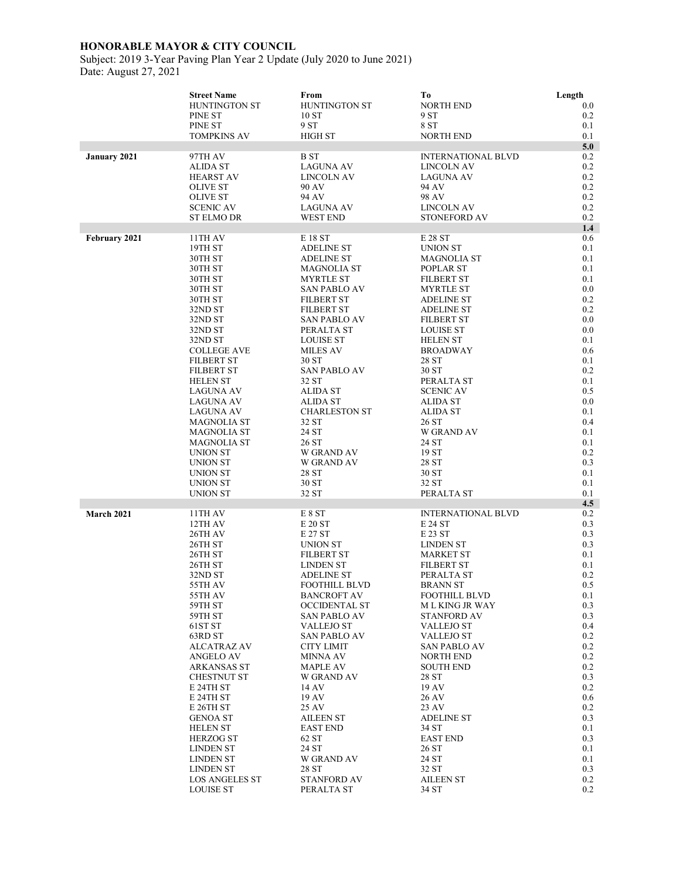Subject: 2019 3-Year Paving Plan Year 2 Update (July 2020 to June 2021) Date: August 27, 2021

|               | <b>Street Name</b>                       | From                                    | Tо                                    | Length         |
|---------------|------------------------------------------|-----------------------------------------|---------------------------------------|----------------|
|               | HUNTINGTON ST                            | HUNTINGTON ST                           | <b>NORTH END</b>                      | $0.0\,$        |
|               | PINE ST                                  | 10ST                                    | 9 ST                                  | 0.2            |
|               | PINE ST                                  | 9 ST                                    | 8 ST                                  | 0.1            |
|               | <b>TOMPKINS AV</b>                       | <b>HIGH ST</b>                          | <b>NORTH END</b>                      | 0.1<br>5.0     |
| January 2021  | 97TH AV                                  | <b>BST</b>                              | <b>INTERNATIONAL BLVD</b>             | 0.2            |
|               | <b>ALIDA ST</b>                          | <b>LAGUNA AV</b>                        | <b>LINCOLN AV</b>                     | 0.2            |
|               | <b>HEARST AV</b>                         | LINCOLN AV                              | <b>LAGUNA AV</b>                      | 0.2            |
|               | <b>OLIVE ST</b>                          | 90 AV                                   | 94 AV                                 | $0.2\,$        |
|               | <b>OLIVE ST</b>                          | 94 AV                                   | 98 AV                                 | 0.2            |
|               | <b>SCENIC AV</b>                         | <b>LAGUNA AV</b>                        | <b>LINCOLN AV</b>                     | $0.2\,$        |
|               | <b>ST ELMO DR</b>                        | <b>WEST END</b>                         | <b>STONEFORD AV</b>                   | 0.2            |
| February 2021 | 11TH AV                                  | E 18 ST                                 | E 28 ST                               | 1.4<br>0.6     |
|               | 19TH ST                                  | <b>ADELINE ST</b>                       | <b>UNION ST</b>                       | 0.1            |
|               | 30TH ST                                  | <b>ADELINE ST</b>                       | <b>MAGNOLIA ST</b>                    | 0.1            |
|               | 30TH ST                                  | <b>MAGNOLIA ST</b>                      | POPLAR ST                             | 0.1            |
|               | 30TH ST                                  | <b>MYRTLE ST</b>                        | <b>FILBERT ST</b>                     | 0.1            |
|               | 30TH ST                                  | <b>SAN PABLO AV</b>                     | <b>MYRTLE ST</b>                      | 0.0            |
|               | 30TH ST                                  | <b>FILBERT ST</b>                       | <b>ADELINE ST</b>                     | 0.2            |
|               | 32ND ST                                  | <b>FILBERT ST</b>                       | <b>ADELINE ST</b>                     | 0.2            |
|               | 32ND ST<br>32ND ST                       | <b>SAN PABLO AV</b><br>PERALTA ST       | <b>FILBERT ST</b><br><b>LOUISE ST</b> | 0.0<br>$0.0\,$ |
|               | 32ND ST                                  | <b>LOUISE ST</b>                        | <b>HELEN ST</b>                       | 0.1            |
|               | <b>COLLEGE AVE</b>                       | <b>MILES AV</b>                         | <b>BROADWAY</b>                       | 0.6            |
|               | <b>FILBERT ST</b>                        | 30 ST                                   | 28 ST                                 | 0.1            |
|               | <b>FILBERT ST</b>                        | <b>SAN PABLO AV</b>                     | 30 ST                                 | 0.2            |
|               | <b>HELEN ST</b>                          | 32 ST                                   | PERALTA ST                            | 0.1            |
|               | <b>LAGUNA AV</b>                         | ALIDA ST                                | <b>SCENIC AV</b>                      | 0.5            |
|               | <b>LAGUNA AV</b><br>LAGUNA AV            | <b>ALIDA ST</b><br><b>CHARLESTON ST</b> | <b>ALIDA ST</b><br>ALIDA ST           | 0.0<br>0.1     |
|               | <b>MAGNOLIA ST</b>                       | 32 ST                                   | 26 ST                                 | 0.4            |
|               | <b>MAGNOLIA ST</b>                       | 24 ST                                   | W GRAND AV                            | 0.1            |
|               | <b>MAGNOLIA ST</b>                       | 26 ST                                   | 24 ST                                 | 0.1            |
|               | UNION ST                                 | W GRAND AV                              | 19 ST                                 | 0.2            |
|               | UNION ST                                 | W GRAND AV                              | 28 ST                                 | 0.3            |
|               | UNION ST                                 | 28 ST                                   | 30 ST                                 | 0.1            |
|               | UNION ST                                 | 30 ST                                   | 32 ST                                 | 0.1            |
|               | UNION ST                                 | 32 ST                                   | PERALTA ST                            | 0.1<br>4.5     |
| March 2021    | 11TH AV                                  | E 8 ST                                  | <b>INTERNATIONAL BLVD</b>             | $0.2\,$        |
|               | 12TH AV                                  | E 20 ST                                 | E 24 ST                               | 0.3            |
|               | 26TH AV                                  | E 27 ST                                 | E 23 ST                               | 0.3            |
|               | 26TH ST                                  | <b>UNION ST</b>                         | <b>LINDEN ST</b>                      | 0.3            |
|               | 26TH ST                                  | FILBERT ST                              | MARKET ST                             | $0.1\,$        |
|               | 26TH ST                                  | LINDEN ST                               | FILBERT ST                            | 0.1            |
|               | 32ND ST<br>55TH AV                       | <b>ADELINE ST</b><br>FOOTHILL BLVD      | PERALTA ST                            | 0.2<br>0.5     |
|               | 55TH AV                                  | <b>BANCROFT AV</b>                      | <b>BRANN ST</b><br>FOOTHILL BLVD      | 0.1            |
|               | 59TH ST                                  | <b>OCCIDENTAL ST</b>                    | M L KING JR WAY                       | 0.3            |
|               | 59TH ST                                  | SAN PABLO AV                            | <b>STANFORD AV</b>                    | 0.3            |
|               | 61ST ST                                  | <b>VALLEJO ST</b>                       | VALLEJO ST                            | 0.4            |
|               | 63RD ST                                  | <b>SAN PABLO AV</b>                     | VALLEJO ST                            | $0.2\,$        |
|               | <b>ALCATRAZ AV</b>                       | <b>CITY LIMIT</b>                       | <b>SAN PABLO AV</b>                   | $0.2\,$        |
|               | <b>ANGELO AV</b>                         | MINNA AV                                | NORTH END                             | $0.2\,$        |
|               | <b>ARKANSAS ST</b><br><b>CHESTNUT ST</b> | MAPLE AV<br><b>W GRAND AV</b>           | <b>SOUTH END</b><br>28 ST             | 0.2<br>0.3     |
|               | E 24TH ST                                | 14 AV                                   | 19 AV                                 | 0.2            |
|               | E 24TH ST                                | 19 AV                                   | 26 AV                                 | 0.6            |
|               | E 26TH ST                                | 25 AV                                   | 23 AV                                 | 0.2            |
|               | <b>GENOA ST</b>                          | <b>AILEEN ST</b>                        | <b>ADELINE ST</b>                     | 0.3            |
|               | <b>HELEN ST</b>                          | <b>EAST END</b>                         | 34 ST                                 | 0.1            |
|               | <b>HERZOG ST</b>                         | 62 ST                                   | <b>EAST END</b>                       | 0.3            |
|               | LINDEN ST                                | 24 ST                                   | 26 ST                                 | 0.1            |
|               | LINDEN ST<br><b>LINDEN ST</b>            | W GRAND AV<br>28 ST                     | 24 ST<br>32 ST                        | 0.1<br>0.3     |
|               | LOS ANGELES ST                           | <b>STANFORD AV</b>                      | <b>AILEEN ST</b>                      | $0.2\,$        |
|               | <b>LOUISE ST</b>                         | PERALTA ST                              | 34 ST                                 | 0.2            |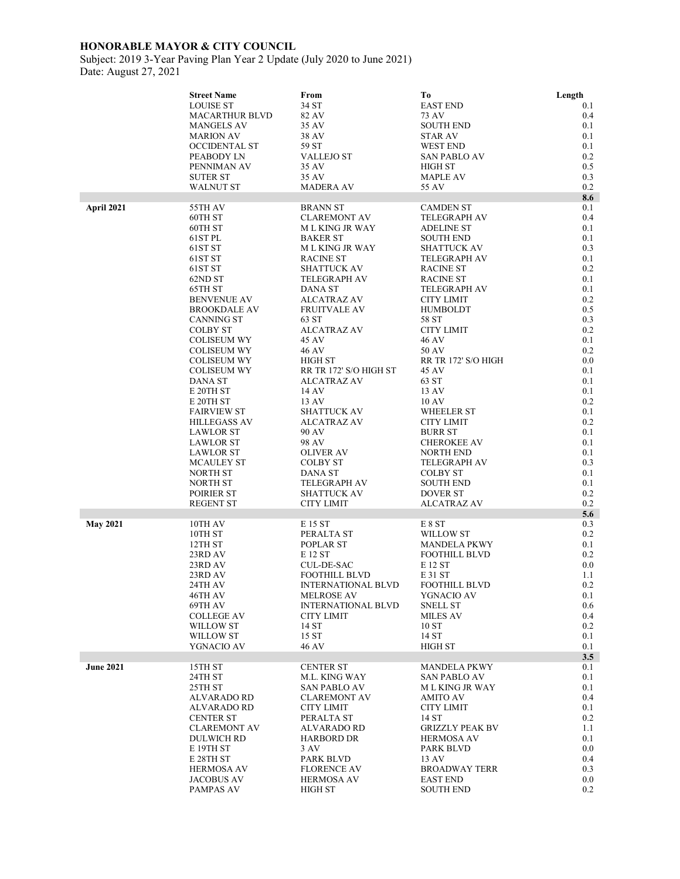Subject: 2019 3-Year Paving Plan Year 2 Update (July 2020 to June 2021) Date: August 27, 2021

|                  | <b>Street Name</b>                       | From                                           | To                                     | Length         |
|------------------|------------------------------------------|------------------------------------------------|----------------------------------------|----------------|
|                  | <b>LOUISE ST</b>                         | 34 ST                                          | <b>EAST END</b>                        | 0.1            |
|                  | <b>MACARTHUR BLVD</b>                    | 82 AV                                          | 73 AV                                  | 0.4            |
|                  | <b>MANGELS AV</b>                        | 35 AV                                          | <b>SOUTH END</b>                       | 0.1            |
|                  | <b>MARION AV</b><br><b>OCCIDENTAL ST</b> | 38 AV<br>59 ST                                 | <b>STAR AV</b><br><b>WEST END</b>      | 0.1<br>0.1     |
|                  | PEABODY LN                               | <b>VALLEJO ST</b>                              | <b>SAN PABLO AV</b>                    | 0.2            |
|                  | PENNIMAN AV                              | 35 AV                                          | HIGH ST                                | 0.5            |
|                  | <b>SUTER ST</b>                          | 35 AV                                          | <b>MAPLE AV</b>                        | 0.3            |
|                  | <b>WALNUT ST</b>                         | <b>MADERA AV</b>                               | 55 AV                                  | 0.2            |
|                  |                                          |                                                |                                        | 8.6            |
| April 2021       | 55TH AV                                  | <b>BRANN ST</b>                                | <b>CAMDEN ST</b>                       | 0.1            |
|                  | 60TH ST                                  | <b>CLAREMONT AV</b>                            | <b>TELEGRAPH AV</b>                    | 0.4            |
|                  | 60TH ST                                  | <b>MLKING JR WAY</b>                           | ADELINE ST                             | 0.1            |
|                  | 61ST PL<br>61ST ST                       | <b>BAKER ST</b><br>M L KING JR WAY             | <b>SOUTH END</b><br><b>SHATTUCK AV</b> | 0.1<br>0.3     |
|                  | 61ST ST                                  | <b>RACINE ST</b>                               | TELEGRAPH AV                           | 0.1            |
|                  | 61ST ST                                  | <b>SHATTUCK AV</b>                             | <b>RACINE ST</b>                       | $0.2\,$        |
|                  | 62ND ST                                  | <b>TELEGRAPH AV</b>                            | <b>RACINE ST</b>                       | 0.1            |
|                  | 65TH ST                                  | DANA ST                                        | TELEGRAPH AV                           | 0.1            |
|                  | <b>BENVENUE AV</b>                       | <b>ALCATRAZ AV</b>                             | <b>CITY LIMIT</b>                      | 0.2            |
|                  | <b>BROOKDALE AV</b>                      | <b>FRUITVALE AV</b>                            | <b>HUMBOLDT</b>                        | 0.5            |
|                  | <b>CANNING ST</b>                        | 63 ST                                          | 58 ST                                  | 0.3            |
|                  | <b>COLBY ST</b><br><b>COLISEUM WY</b>    | <b>ALCATRAZ AV</b><br>45 AV                    | <b>CITY LIMIT</b><br>46 AV             | 0.2<br>0.1     |
|                  | <b>COLISEUM WY</b>                       | <b>46 AV</b>                                   | 50 AV                                  | 0.2            |
|                  | <b>COLISEUM WY</b>                       | HIGH ST                                        | RR TR 172' S/O HIGH                    | 0.0            |
|                  | COLISEUM WY                              | RR TR 172' S/O HIGH ST                         | 45 AV                                  | 0.1            |
|                  | DANA ST                                  | <b>ALCATRAZ AV</b>                             | 63 ST                                  | 0.1            |
|                  | E 20TH ST                                | 14 AV                                          | 13 AV                                  | 0.1            |
|                  | E 20TH ST                                | 13 AV                                          | 10 AV                                  | 0.2            |
|                  | <b>FAIRVIEW ST</b>                       | <b>SHATTUCK AV</b>                             | <b>WHEELER ST</b>                      | 0.1            |
|                  | <b>HILLEGASS AV</b><br><b>LAWLOR ST</b>  | <b>ALCATRAZ AV</b><br>90 AV                    | CITY LIMIT<br><b>BURR ST</b>           | 0.2<br>0.1     |
|                  | <b>LAWLOR ST</b>                         | 98 AV                                          | <b>CHEROKEE AV</b>                     | 0.1            |
|                  | <b>LAWLOR ST</b>                         | <b>OLIVER AV</b>                               | NORTH END                              | 0.1            |
|                  | <b>MCAULEY ST</b>                        | <b>COLBY ST</b>                                | <b>TELEGRAPH AV</b>                    | 0.3            |
|                  | <b>NORTH ST</b>                          | DANA ST                                        | <b>COLBY ST</b>                        | 0.1            |
|                  | <b>NORTH ST</b>                          | TELEGRAPH AV                                   | SOUTH END                              | 0.1            |
|                  | POIRIER ST                               | <b>SHATTUCK AV</b>                             | <b>DOVER ST</b>                        | 0.2            |
|                  | <b>REGENT ST</b>                         | <b>CITY LIMIT</b>                              | ALCATRAZ AV                            | 0.2            |
| <b>May 2021</b>  | 10TH AV                                  | E 15 ST                                        | E 8 ST                                 | 5.6<br>0.3     |
|                  | 10TH ST                                  | PERALTA ST                                     | <b>WILLOW ST</b>                       | $0.2\,$        |
|                  | 12TH ST                                  | POPLAR ST                                      | <b>MANDELA PKWY</b>                    | 0.1            |
|                  | 23RD AV                                  | E 12 ST                                        | <b>FOOTHILL BLVD</b>                   | $0.2\,$        |
|                  | 23RD AV                                  | CUL-DE-SAC                                     | E 12 ST                                | $0.0\,$        |
|                  | 23RD AV                                  | FOOTHILL BLVD                                  | E 31 ST                                | 1.1            |
|                  | 24TH AV                                  | <b>INTERNATIONAL BLVD</b>                      | FOOTHILL BLVD                          | 0.2            |
|                  | 46TH AV<br>69TH AV                       | <b>MELROSE AV</b><br><b>INTERNATIONAL BLVD</b> | YGNACIO AV<br><b>SNELL ST</b>          | 0.1<br>0.6     |
|                  | <b>COLLEGE AV</b>                        | <b>CITY LIMIT</b>                              | <b>MILES AV</b>                        | $0.4\,$        |
|                  | WILLOW ST                                | 14 ST                                          | 10ST                                   | 0.2            |
|                  | WILLOW ST                                | 15 ST                                          | 14 ST                                  | 0.1            |
|                  | YGNACIO AV                               | 46 AV                                          | HIGH ST                                | 0.1            |
|                  |                                          |                                                |                                        | 3.5            |
| <b>June 2021</b> | 15TH ST                                  | <b>CENTER ST</b>                               | <b>MANDELA PKWY</b>                    | 0.1            |
|                  | 24TH ST                                  | <b>M.L. KING WAY</b><br><b>SAN PABLO AV</b>    | SAN PABLO AV<br>M L KING JR WAY        | 0.1<br>0.1     |
|                  | 25TH ST<br><b>ALVARADO RD</b>            | <b>CLAREMONT AV</b>                            | AMITO AV                               | 0.4            |
|                  | <b>ALVARADO RD</b>                       | <b>CITY LIMIT</b>                              | CITY LIMIT                             | 0.1            |
|                  | <b>CENTER ST</b>                         | PERALTA ST                                     | 14 ST                                  | 0.2            |
|                  | <b>CLAREMONT AV</b>                      | <b>ALVARADO RD</b>                             | GRIZZLY PEAK BV                        | 1.1            |
|                  | <b>DULWICH RD</b>                        | <b>HARBORD DR</b>                              | HERMOSA AV                             | 0.1            |
|                  | E 19TH ST                                | 3 AV                                           | PARK BLVD                              | $0.0\,$        |
|                  | E 28TH ST                                | PARK BLVD                                      | 13 AV                                  | 0.4            |
|                  | <b>HERMOSA AV</b>                        | <b>FLORENCE AV</b>                             | <b>BROADWAY TERR</b>                   | 0.3            |
|                  | <b>JACOBUS AV</b><br>PAMPAS AV           | <b>HERMOSA AV</b><br><b>HIGH ST</b>            | <b>EAST END</b><br>SOUTH END           | $0.0\,$<br>0.2 |
|                  |                                          |                                                |                                        |                |